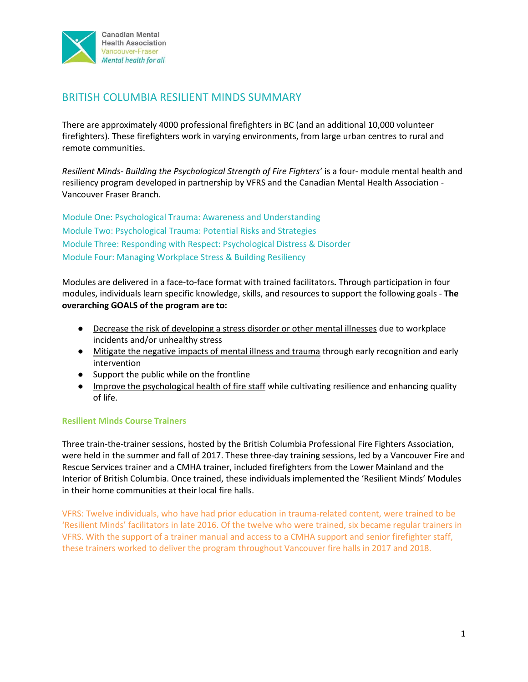

## BRITISH COLUMBIA RESILIENT MINDS SUMMARY

There are approximately 4000 professional firefighters in BC (and an additional 10,000 volunteer firefighters). These firefighters work in varying environments, from large urban centres to rural and remote communities.

*Resilient Minds- Building the Psychological Strength of Fire Fighters'* is a four- module mental health and resiliency program developed in partnership by VFRS and the Canadian Mental Health Association - Vancouver Fraser Branch.

Module One: Psychological Trauma: Awareness and Understanding Module Two: Psychological Trauma: Potential Risks and Strategies Module Three: Responding with Respect: Psychological Distress & Disorder Module Four: Managing Workplace Stress & Building Resiliency

Modules are delivered in a face-to-face format with trained facilitators**.** Through participation in four modules, individuals learn specific knowledge, skills, and resources to support the following goals - **The overarching GOALS of the program are to:** 

- Decrease the risk of developing a stress disorder or other mental illnesses due to workplace incidents and/or unhealthy stress
- Mitigate the negative impacts of mental illness and trauma through early recognition and early intervention
- Support the public while on the frontline
- Improve the psychological health of fire staff while cultivating resilience and enhancing quality of life.

#### **Resilient Minds Course Trainers**

Three train-the-trainer sessions, hosted by the British Columbia Professional Fire Fighters Association, were held in the summer and fall of 2017. These three-day training sessions, led by a Vancouver Fire and Rescue Services trainer and a CMHA trainer, included firefighters from the Lower Mainland and the Interior of British Columbia. Once trained, these individuals implemented the 'Resilient Minds' Modules in their home communities at their local fire halls.

VFRS: Twelve individuals, who have had prior education in trauma-related content, were trained to be 'Resilient Minds' facilitators in late 2016. Of the twelve who were trained, six became regular trainers in VFRS. With the support of a trainer manual and access to a CMHA support and senior firefighter staff, these trainers worked to deliver the program throughout Vancouver fire halls in 2017 and 2018.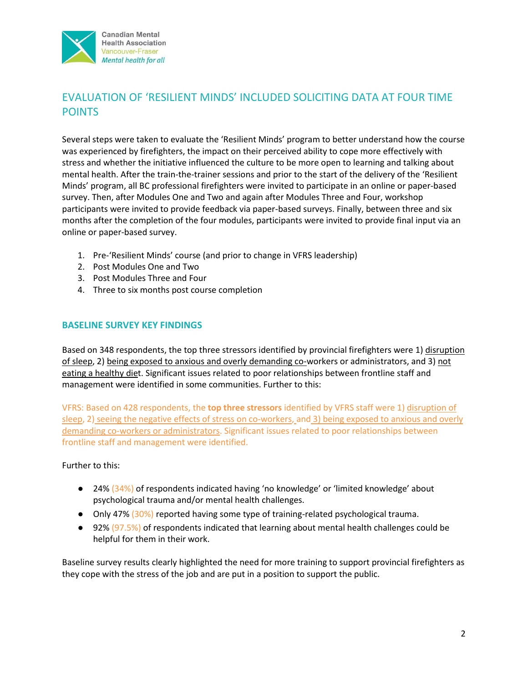

# EVALUATION OF 'RESILIENT MINDS' INCLUDED SOLICITING DATA AT FOUR TIME POINTS

Several steps were taken to evaluate the 'Resilient Minds' program to better understand how the course was experienced by firefighters, the impact on their perceived ability to cope more effectively with stress and whether the initiative influenced the culture to be more open to learning and talking about mental health. After the train-the-trainer sessions and prior to the start of the delivery of the 'Resilient Minds' program, all BC professional firefighters were invited to participate in an online or paper-based survey. Then, after Modules One and Two and again after Modules Three and Four, workshop participants were invited to provide feedback via paper-based surveys. Finally, between three and six months after the completion of the four modules, participants were invited to provide final input via an online or paper-based survey.

- 1. Pre-'Resilient Minds' course (and prior to change in VFRS leadership)
- 2. Post Modules One and Two
- 3. Post Modules Three and Four
- 4. Three to six months post course completion

#### **BASELINE SURVEY KEY FINDINGS**

Based on 348 respondents, the top three stressors identified by provincial firefighters were 1) disruption of sleep, 2) being exposed to anxious and overly demanding co-workers or administrators, and 3) not eating a healthy diet. Significant issues related to poor relationships between frontline staff and management were identified in some communities. Further to this:

VFRS: Based on 428 respondents, the **top three stressors** identified by VFRS staff were 1) disruption of sleep, 2) seeing the negative effects of stress on co-workers, and 3) being exposed to anxious and overly demanding co-workers or administrators. Significant issues related to poor relationships between frontline staff and management were identified.

#### Further to this:

- 24% (34%) of respondents indicated having 'no knowledge' or 'limited knowledge' about psychological trauma and/or mental health challenges.
- Only 47% (30%) reported having some type of training-related psychological trauma.
- 92% (97.5%) of respondents indicated that learning about mental health challenges could be helpful for them in their work.

Baseline survey results clearly highlighted the need for more training to support provincial firefighters as they cope with the stress of the job and are put in a position to support the public.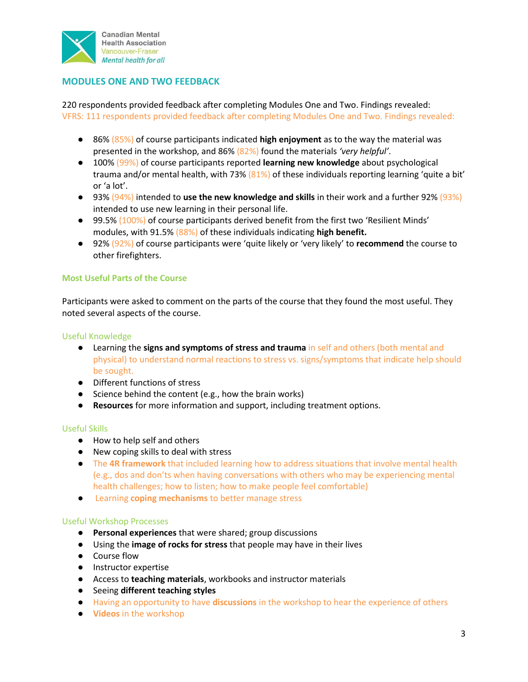

### **MODULES ONE AND TWO FEEDBACK**

220 respondents provided feedback after completing Modules One and Two. Findings revealed: VFRS: 111 respondents provided feedback after completing Modules One and Two. Findings revealed:

- 86% (85%) of course participants indicated **high enjoyment** as to the way the material was presented in the workshop, and 86% (82%) found the materials *'very helpful'*.
- 100% (99%) of course participants reported **learning new knowledge** about psychological trauma and/or mental health, with 73%  $(81%)$  of these individuals reporting learning 'quite a bit' or 'a lot'.
- 93% (94%) intended to **use the new knowledge and skills** in their work and a further 92% (93%) intended to use new learning in their personal life.
- 99.5% (100%) of course participants derived benefit from the first two 'Resilient Minds' modules, with 91.5% (88%) of these individuals indicating **high benefit.**
- 92% (92%) of course participants were 'quite likely or 'very likely' to **recommend** the course to other firefighters.

#### **Most Useful Parts of the Course**

Participants were asked to comment on the parts of the course that they found the most useful. They noted several aspects of the course.

#### Useful Knowledge

- Learning the **signs and symptoms of stress and trauma** in self and others (both mental and physical) to understand normal reactions to stress vs. signs/symptoms that indicate help should be sought.
- Different functions of stress
- Science behind the content (e.g., how the brain works)
- **Resources** for more information and support, including treatment options.

#### Useful Skills

- How to help self and others
- New coping skills to deal with stress
- The **4R framework** that included learning how to address situations that involve mental health (e.g., dos and don'ts when having conversations with others who may be experiencing mental health challenges; how to listen; how to make people feel comfortable)
- Learning **coping mechanisms** to better manage stress

#### Useful Workshop Processes

- **Personal experiences** that were shared; group discussions
- Using the **image of rocks for stress** that people may have in their lives
- Course flow
- Instructor expertise
- Access to **teaching materials**, workbooks and instructor materials
- Seeing **different teaching styles**
- Having an opportunity to have **discussions** in the workshop to hear the experience of others
- **Videos** in the workshop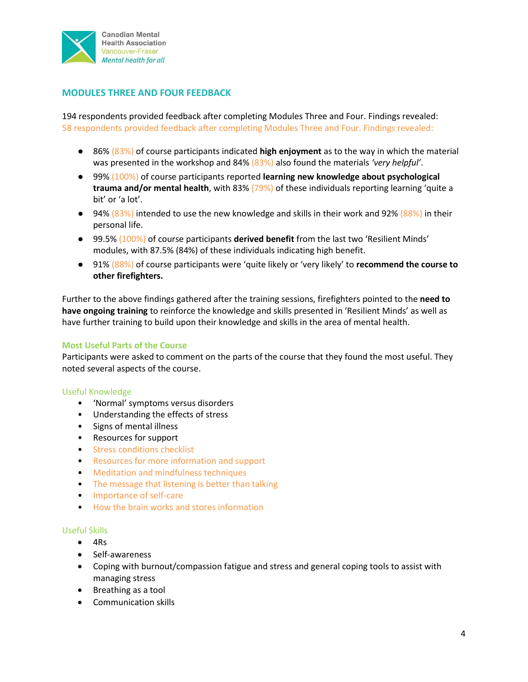

### **MODULES THREE AND FOUR FEEDBACK**

194 respondents provided feedback after completing Modules Three and Four. Findings revealed: 58 respondents provided feedback after completing Modules Three and Four. Findings revealed:

- 86% (83%) of course participants indicated **high enjoyment** as to the way in which the material was presented in the workshop and 84% (83%) also found the materials *'very helpful'*.
- 99% (100%) of course participants reported **learning new knowledge about psychological trauma and/or mental health**, with 83% (79%) of these individuals reporting learning 'quite a bit' or 'a lot'.
- 94%  $(83%)$  intended to use the new knowledge and skills in their work and 92%  $(88%)$  in their personal life.
- 99.5% (100%) of course participants **derived benefit** from the last two 'Resilient Minds' modules, with 87.5% (84%) of these individuals indicating high benefit.
- 91% (88%) of course participants were 'quite likely or 'very likely' to **recommend the course to other firefighters.**

Further to the above findings gathered after the training sessions, firefighters pointed to the **need to have ongoing training** to reinforce the knowledge and skills presented in 'Resilient Minds' as well as have further training to build upon their knowledge and skills in the area of mental health.

#### **Most Useful Parts of the Course**

Participants were asked to comment on the parts of the course that they found the most useful. They noted several aspects of the course.

#### Useful Knowledge

- 'Normal' symptoms versus disorders
- Understanding the effects of stress
- Signs of mental illness
- Resources for support
- Stress conditions checklist
- Resources for more information and support
- Meditation and mindfulness techniques
- The message that listening is better than talking
- Importance of self-care
- How the brain works and stores information

#### Useful Skills

- $\bullet$  4Rs
- Self-awareness
- Coping with burnout/compassion fatigue and stress and general coping tools to assist with managing stress
- Breathing as a tool
- Communication skills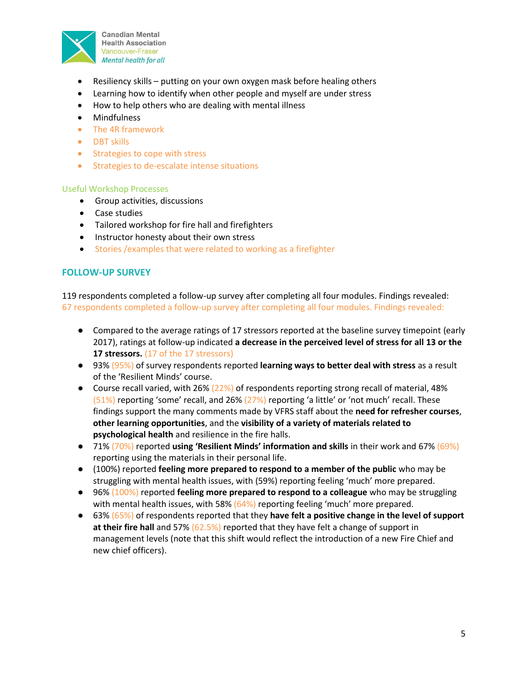

- Resiliency skills putting on your own oxygen mask before healing others
- Learning how to identify when other people and myself are under stress
- How to help others who are dealing with mental illness
- Mindfulness
- The 4R framework
- DBT skills
- Strategies to cope with stress
- **•** Strategies to de-escalate intense situations

#### Useful Workshop Processes

- Group activities, discussions
- Case studies
- Tailored workshop for fire hall and firefighters
- Instructor honesty about their own stress
- Stories /examples that were related to working as a firefighter

#### **FOLLOW-UP SURVEY**

119 respondents completed a follow-up survey after completing all four modules. Findings revealed: 67 respondents completed a follow-up survey after completing all four modules. Findings revealed:

- Compared to the average ratings of 17 stressors reported at the baseline survey timepoint (early 2017), ratings at follow-up indicated **a decrease in the perceived level of stress for all 13 or the 17 stressors.** (17 of the 17 stressors)
- 93% (95%) of survey respondents reported **learning ways to better deal with stress** as a result of the 'Resilient Minds' course.
- Course recall varied, with 26% (22%) of respondents reporting strong recall of material, 48% (51%) reporting 'some' recall, and 26% (27%) reporting 'a little' or 'not much' recall. These findings support the many comments made by VFRS staff about the **need for refresher courses**, **other learning opportunities**, and the **visibility of a variety of materials related to psychological health** and resilience in the fire halls.
- 71% (70%) reported **using 'Resilient Minds' information and skills** in their work and 67% (69%) reporting using the materials in their personal life.
- (100%) reported **feeling more prepared to respond to a member of the public** who may be struggling with mental health issues, with (59%) reporting feeling 'much' more prepared.
- 96% (100%) reported **feeling more prepared to respond to a colleague** who may be struggling with mental health issues, with 58% (64%) reporting feeling 'much' more prepared.
- 63% (65%) of respondents reported that they **have felt a positive change in the level of support at their fire hall** and 57% (62.5%) reported that they have felt a change of support in management levels (note that this shift would reflect the introduction of a new Fire Chief and new chief officers).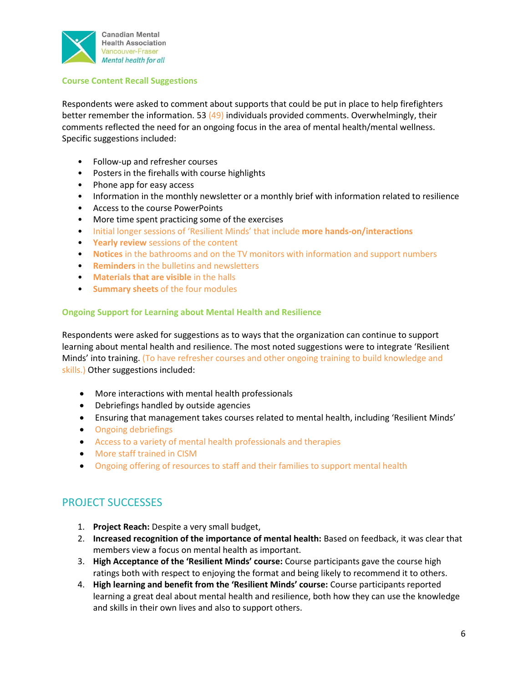

#### **Course Content Recall Suggestions**

Respondents were asked to comment about supports that could be put in place to help firefighters better remember the information. 53 (49) individuals provided comments. Overwhelmingly, their comments reflected the need for an ongoing focus in the area of mental health/mental wellness. Specific suggestions included:

- Follow-up and refresher courses
- Posters in the firehalls with course highlights
- Phone app for easy access
- Information in the monthly newsletter or a monthly brief with information related to resilience
- Access to the course PowerPoints
- More time spent practicing some of the exercises
- Initial longer sessions of 'Resilient Minds' that include **more hands-on/interactions**
- **Yearly review** sessions of the content
- **Notices** in the bathrooms and on the TV monitors with information and support numbers
- **Reminders** in the bulletins and newsletters
- **Materials that are visible** in the halls
- **Summary sheets** of the four modules

#### **Ongoing Support for Learning about Mental Health and Resilience**

Respondents were asked for suggestions as to ways that the organization can continue to support learning about mental health and resilience. The most noted suggestions were to integrate 'Resilient Minds' into training. (To have refresher courses and other ongoing training to build knowledge and skills.) Other suggestions included:

- More interactions with mental health professionals
- Debriefings handled by outside agencies
- Ensuring that management takes courses related to mental health, including 'Resilient Minds'
- **•** Ongoing debriefings
- Access to a variety of mental health professionals and therapies
- More staff trained in CISM
- Ongoing offering of resources to staff and their families to support mental health

## PROJECT SUCCESSES

- 1. **Project Reach:** Despite a very small budget,
- 2. **Increased recognition of the importance of mental health:** Based on feedback, it was clear that members view a focus on mental health as important.
- 3. **High Acceptance of the 'Resilient Minds' course:** Course participants gave the course high ratings both with respect to enjoying the format and being likely to recommend it to others.
- 4. **High learning and benefit from the 'Resilient Minds' course:** Course participants reported learning a great deal about mental health and resilience, both how they can use the knowledge and skills in their own lives and also to support others.